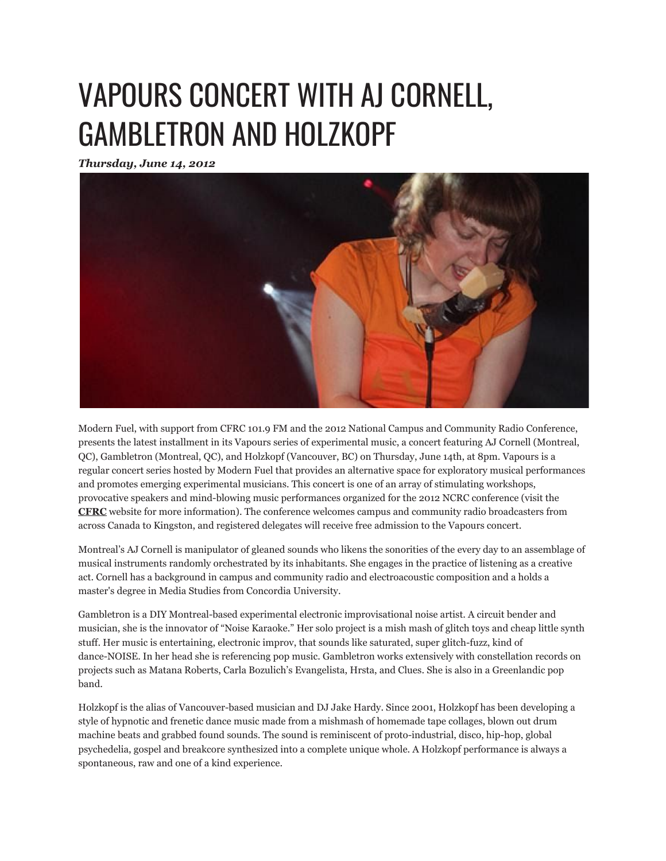## VAPOURS CONCERT WITH AJ CORNELL, GAMBLETRON AND HOLZKOPF

*Thursday, June 14, 2012*



Modern Fuel, with support from CFRC 101.9 FM and the 2012 National Campus and Community Radio Conference, presents the latest installment in its Vapours series of experimental music, a concert featuring AJ Cornell (Montreal, QC), Gambletron (Montreal, QC), and Holzkopf (Vancouver, BC) on Thursday, June 14th, at 8pm. Vapours is a regular concert series hosted by Modern Fuel that provides an alternative space for exploratory musical performances and promotes emerging experimental musicians. This concert is one of an array of stimulating workshops, provocative speakers and mind-blowing music performances organized for the 2012 NCRC conference (visit the **[CFRC](http://cfrc.ca/blog/ncrc2012)** website for more information). The conference welcomes campus and community radio broadcasters from across Canada to Kingston, and registered delegates will receive free admission to the Vapours concert.

Montreal's AJ Cornell is manipulator of gleaned sounds who likens the sonorities of the every day to an assemblage of musical instruments randomly orchestrated by its inhabitants. She engages in the practice of listening as a creative act. Cornell has a background in campus and community radio and electroacoustic composition and a holds a master's degree in Media Studies from Concordia University.

Gambletron is a DIY Montreal-based experimental electronic improvisational noise artist. A circuit bender and musician, she is the innovator of "Noise Karaoke." Her solo project is a mish mash of glitch toys and cheap little synth stuff. Her music is entertaining, electronic improv, that sounds like saturated, super glitch-fuzz, kind of dance-NOISE. In her head she is referencing pop music. Gambletron works extensively with constellation records on projects such as Matana Roberts, Carla Bozulich's Evangelista, Hrsta, and Clues. She is also in a Greenlandic pop band.

Holzkopf is the alias of Vancouver-based musician and DJ Jake Hardy. Since 2001, Holzkopf has been developing a style of hypnotic and frenetic dance music made from a mishmash of homemade tape collages, blown out drum machine beats and grabbed found sounds. The sound is reminiscent of proto-industrial, disco, hip-hop, global psychedelia, gospel and breakcore synthesized into a complete unique whole. A Holzkopf performance is always a spontaneous, raw and one of a kind experience.